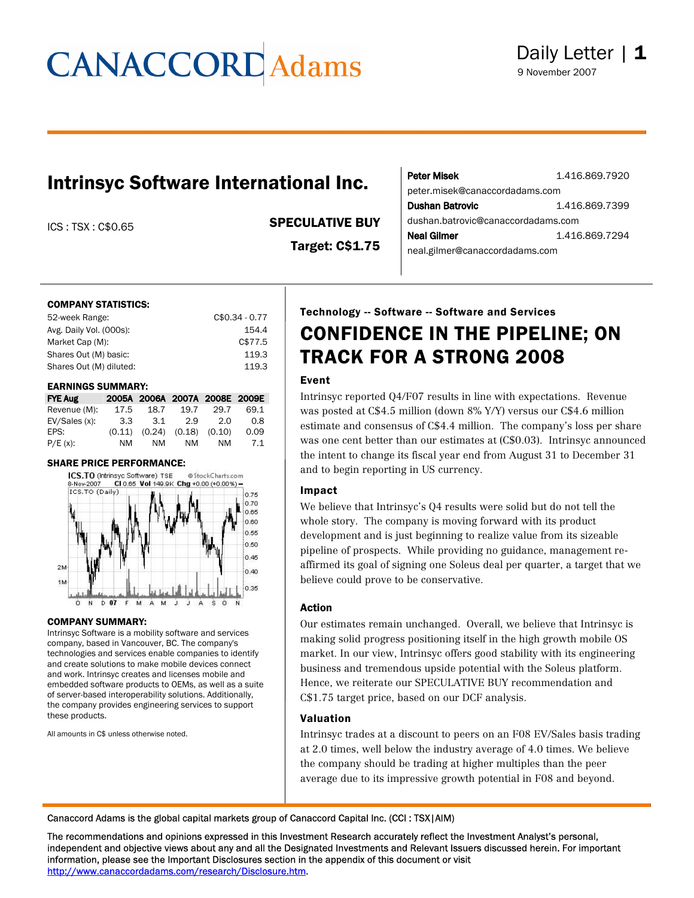### Intrinsyc Software International Inc.

ICS : TSX : C\$0.65 SPECULATIVE BUY

Target: C\$1.75

| <b>Peter Misek</b>                 | 1.416.869.7920 |  |  |  |  |  |  |
|------------------------------------|----------------|--|--|--|--|--|--|
| peter.misek@canaccordadams.com     |                |  |  |  |  |  |  |
| Dushan Batrovic                    | 1.416.869.7399 |  |  |  |  |  |  |
| dushan.batrovic@canaccordadams.com |                |  |  |  |  |  |  |
| Neal Gilmer                        | 1.416.869.7294 |  |  |  |  |  |  |
| neal.gilmer@canaccordadams.com     |                |  |  |  |  |  |  |

#### COMPANY STATISTICS:

| 52-week Range:          | $C$0.34 - 0.77$ |
|-------------------------|-----------------|
| Avg. Daily Vol. (000s): | 154.4           |
| Market Cap (M):         | C\$77.5         |
| Shares Out (M) basic:   | 119.3           |
| Shares Out (M) diluted: | 119.3           |

#### EARNINGS SUMMARY:

| <b>FYE Aug</b> |        |        | 2005A 2006A 2007A 2008E 2009E |      |      |
|----------------|--------|--------|-------------------------------|------|------|
| Revenue (M):   | 17.5   | 18.7   | 19.7                          | 29.7 | 69.1 |
| EV/Sales(x):   | 3.3    | -3.1   | 2.9                           | 2.0  | 0.8  |
| EPS:           | (0.11) | (0.24) | $(0.18)$ $(0.10)$             |      | 0.09 |
| $P/E(x)$ :     | NM     | NM.    | NM                            | NM   | 7.1  |

#### SHARE PRICE PERFORMANCE:



#### COMPANY SUMMARY:

Intrinsyc Software is a mobility software and services company, based in Vancouver, BC. The company's technologies and services enable companies to identify and create solutions to make mobile devices connect and work. Intrinsyc creates and licenses mobile and embedded software products to OEMs, as well as a suite of server-based interoperability solutions. Additionally, the company provides engineering services to support these products.

All amounts in C\$ unless otherwise noted.

### Technology -- Software -- Software and Services CONFIDENCE IN THE PIPELINE; ON TRACK FOR A STRONG 2008

#### Event

Intrinsyc reported Q4/F07 results in line with expectations. Revenue was posted at C\$4.5 million (down 8% Y/Y) versus our C\$4.6 million estimate and consensus of C\$4.4 million. The company's loss per share was one cent better than our estimates at (C\$0.03). Intrinsyc announced the intent to change its fiscal year end from August 31 to December 31 and to begin reporting in US currency.

#### Impact

We believe that Intrinsyc's Q4 results were solid but do not tell the whole story. The company is moving forward with its product development and is just beginning to realize value from its sizeable pipeline of prospects. While providing no guidance, management reaffirmed its goal of signing one Soleus deal per quarter, a target that we believe could prove to be conservative.

#### Action

Our estimates remain unchanged. Overall, we believe that Intrinsyc is making solid progress positioning itself in the high growth mobile OS market. In our view, Intrinsyc offers good stability with its engineering business and tremendous upside potential with the Soleus platform. Hence, we reiterate our SPECULATIVE BUY recommendation and C\$1.75 target price, based on our DCF analysis.

#### Valuation

Intrinsyc trades at a discount to peers on an F08 EV/Sales basis trading at 2.0 times, well below the industry average of 4.0 times. We believe the company should be trading at higher multiples than the peer average due to its impressive growth potential in F08 and beyond.

Canaccord Adams is the global capital markets group of Canaccord Capital Inc. (CCI : TSX|AIM)

The recommendations and opinions expressed in this Investment Research accurately reflect the Investment Analyst's personal, independent and objective views about any and all the Designated Investments and Relevant Issuers discussed herein. For important information, please see the Important Disclosures section in the appendix of this document or visit http://www.canaccordadams.com/research/Disclosure.htm.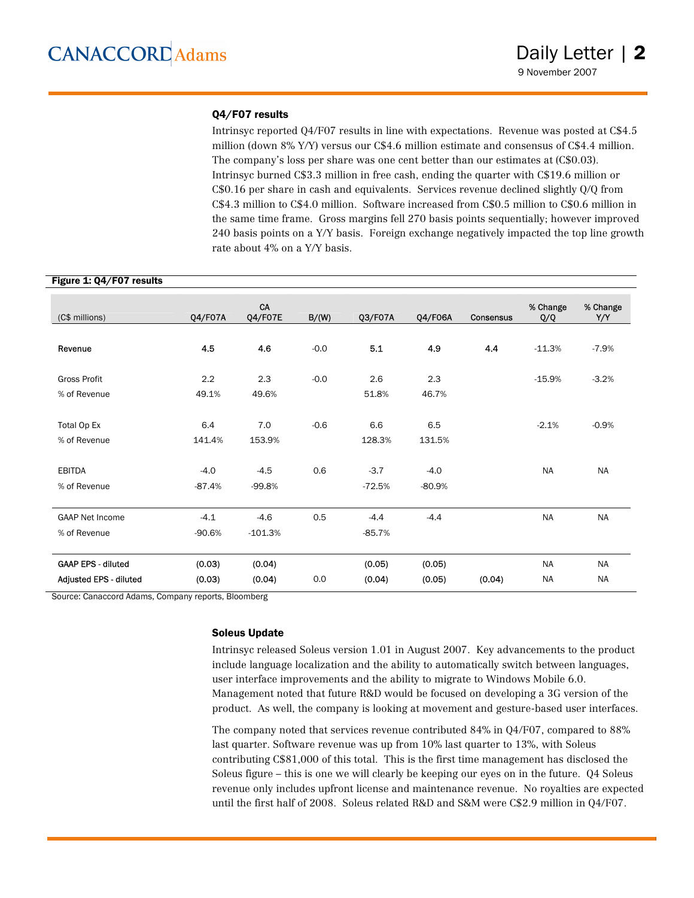#### Q4/F07 results

Intrinsyc reported Q4/F07 results in line with expectations. Revenue was posted at C\$4.5 million (down 8% Y/Y) versus our C\$4.6 million estimate and consensus of C\$4.4 million. The company's loss per share was one cent better than our estimates at  $(C$0.03)$ . Intrinsyc burned C\$3.3 million in free cash, ending the quarter with C\$19.6 million or C\$0.16 per share in cash and equivalents. Services revenue declined slightly Q/Q from C\$4.3 million to C\$4.0 million. Software increased from C\$0.5 million to C\$0.6 million in the same time frame. Gross margins fell 270 basis points sequentially; however improved 240 basis points on a Y/Y basis. Foreign exchange negatively impacted the top line growth rate about 4% on a Y/Y basis.

#### Figure 1: Q4/F07 results

| (C\$ millions)                | <b>Q4/F07A</b> | CA<br><b>Q4/F07E</b> | B/(W)  | Q3/F07A  | <b>Q4/F06A</b> | <b>Consensus</b> | % Change<br>Q/Q | % Change<br>Y/Y |
|-------------------------------|----------------|----------------------|--------|----------|----------------|------------------|-----------------|-----------------|
|                               |                |                      |        |          |                |                  |                 |                 |
| Revenue                       | 4.5            | 4.6                  | $-0.0$ | 5.1      | 4.9            | 4.4              | $-11.3%$        | $-7.9%$         |
| <b>Gross Profit</b>           | 2.2            | 2.3                  | $-0.0$ | 2.6      | 2.3            |                  | $-15.9%$        | $-3.2%$         |
| % of Revenue                  | 49.1%          | 49.6%                |        | 51.8%    | 46.7%          |                  |                 |                 |
|                               |                |                      |        |          |                |                  |                 |                 |
| Total Op Ex                   | 6.4            | 7.0                  | $-0.6$ | 6.6      | 6.5            |                  | $-2.1%$         | $-0.9%$         |
| % of Revenue                  | 141.4%         | 153.9%               |        | 128.3%   | 131.5%         |                  |                 |                 |
|                               |                |                      |        |          |                |                  |                 |                 |
| <b>EBITDA</b>                 | $-4.0$         | $-4.5$               | 0.6    | $-3.7$   | $-4.0$         |                  | <b>NA</b>       | <b>NA</b>       |
| % of Revenue                  | $-87.4%$       | $-99.8%$             |        | $-72.5%$ | $-80.9%$       |                  |                 |                 |
|                               |                |                      |        |          |                |                  |                 |                 |
| <b>GAAP Net Income</b>        | $-4.1$         | $-4.6$               | 0.5    | $-4.4$   | $-4.4$         |                  | <b>NA</b>       | <b>NA</b>       |
| % of Revenue                  | $-90.6%$       | $-101.3%$            |        | $-85.7%$ |                |                  |                 |                 |
|                               |                |                      |        |          |                |                  |                 |                 |
| <b>GAAP EPS - diluted</b>     | (0.03)         | (0.04)               |        | (0.05)   | (0.05)         |                  | <b>NA</b>       | <b>NA</b>       |
| <b>Adjusted EPS - diluted</b> | (0.03)         | (0.04)               | 0.0    | (0.04)   | (0.05)         | (0.04)           | <b>NA</b>       | <b>NA</b>       |

Source: Canaccord Adams, Company reports, Bloomberg

#### Soleus Update

Intrinsyc released Soleus version 1.01 in August 2007. Key advancements to the product include language localization and the ability to automatically switch between languages, user interface improvements and the ability to migrate to Windows Mobile 6.0. Management noted that future R&D would be focused on developing a 3G version of the product. As well, the company is looking at movement and gesture-based user interfaces.

The company noted that services revenue contributed 84% in Q4/F07, compared to 88% last quarter. Software revenue was up from 10% last quarter to 13%, with Soleus contributing C\$81,000 of this total. This is the first time management has disclosed the Soleus figure – this is one we will clearly be keeping our eyes on in the future. Q4 Soleus revenue only includes upfront license and maintenance revenue. No royalties are expected until the first half of 2008. Soleus related R&D and S&M were C\$2.9 million in Q4/F07.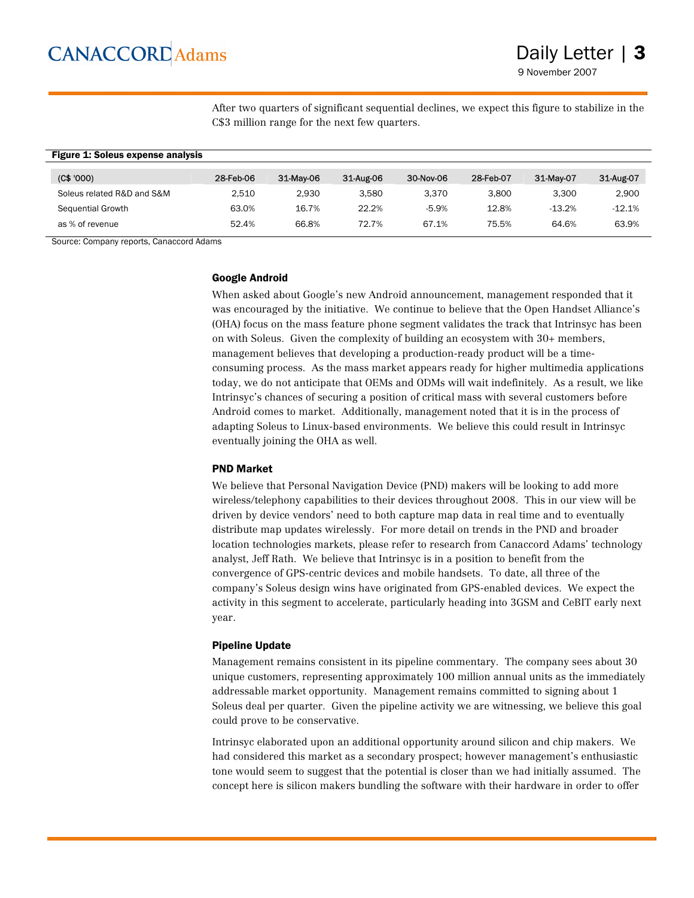After two quarters of significant sequential declines, we expect this figure to stabilize in the C\$3 million range for the next few quarters.

### Figure 1: Soleus expense analysis (C\$ '000) 28-Feb-06 31-May-06 31-Aug-06 30-Nov-06 28-Feb-07 31-May-07 31-Aug-07 Soleus related R&D and S&M 2,510 2,930 3,580 3,370 3,800 3,300 2,900 Sequential Growth 63.0% 16.7% 22.2% -5.9% 12.8% -13.2% -12.1% as % of revenue 52.4% 66.8% 72.7% 67.1% 75.5% 64.6% 63.9%

Source: Company reports, Canaccord Adams

#### Google Android

When asked about Google's new Android announcement, management responded that it was encouraged by the initiative. We continue to believe that the Open Handset Alliance's (OHA) focus on the mass feature phone segment validates the track that Intrinsyc has been on with Soleus. Given the complexity of building an ecosystem with 30+ members, management believes that developing a production-ready product will be a timeconsuming process. As the mass market appears ready for higher multimedia applications today, we do not anticipate that OEMs and ODMs will wait indefinitely. As a result, we like Intrinsyc's chances of securing a position of critical mass with several customers before Android comes to market. Additionally, management noted that it is in the process of adapting Soleus to Linux-based environments. We believe this could result in Intrinsyc eventually joining the OHA as well.

#### PND Market

We believe that Personal Navigation Device (PND) makers will be looking to add more wireless/telephony capabilities to their devices throughout 2008. This in our view will be driven by device vendors' need to both capture map data in real time and to eventually distribute map updates wirelessly. For more detail on trends in the PND and broader location technologies markets, please refer to research from Canaccord Adams' technology analyst, Jeff Rath. We believe that Intrinsyc is in a position to benefit from the convergence of GPS-centric devices and mobile handsets. To date, all three of the company's Soleus design wins have originated from GPS-enabled devices. We expect the activity in this segment to accelerate, particularly heading into 3GSM and CeBIT early next year.

#### Pipeline Update

Management remains consistent in its pipeline commentary. The company sees about 30 unique customers, representing approximately 100 million annual units as the immediately addressable market opportunity. Management remains committed to signing about 1 Soleus deal per quarter. Given the pipeline activity we are witnessing, we believe this goal could prove to be conservative.

Intrinsyc elaborated upon an additional opportunity around silicon and chip makers. We had considered this market as a secondary prospect; however management's enthusiastic tone would seem to suggest that the potential is closer than we had initially assumed. The concept here is silicon makers bundling the software with their hardware in order to offer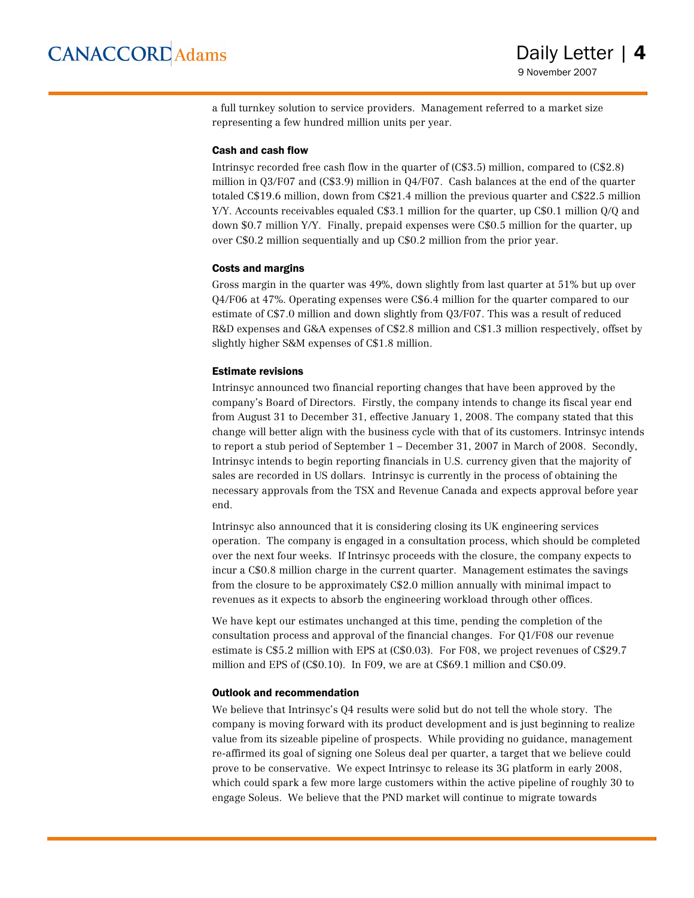a full turnkey solution to service providers. Management referred to a market size representing a few hundred million units per year.

#### Cash and cash flow

Intrinsyc recorded free cash flow in the quarter of (C\$3.5) million, compared to (C\$2.8) million in Q3/F07 and (C\$3.9) million in Q4/F07. Cash balances at the end of the quarter totaled C\$19.6 million, down from C\$21.4 million the previous quarter and C\$22.5 million Y/Y. Accounts receivables equaled C\$3.1 million for the quarter, up C\$0.1 million Q/Q and down \$0.7 million Y/Y. Finally, prepaid expenses were C\$0.5 million for the quarter, up over C\$0.2 million sequentially and up C\$0.2 million from the prior year.

#### Costs and margins

Gross margin in the quarter was 49%, down slightly from last quarter at 51% but up over Q4/F06 at 47%. Operating expenses were C\$6.4 million for the quarter compared to our estimate of C\$7.0 million and down slightly from Q3/F07. This was a result of reduced R&D expenses and G&A expenses of C\$2.8 million and C\$1.3 million respectively, offset by slightly higher S&M expenses of C\$1.8 million.

#### Estimate revisions

Intrinsyc announced two financial reporting changes that have been approved by the company's Board of Directors. Firstly, the company intends to change its fiscal year end from August 31 to December 31, effective January 1, 2008. The company stated that this change will better align with the business cycle with that of its customers. Intrinsyc intends to report a stub period of September 1 – December 31, 2007 in March of 2008. Secondly, Intrinsyc intends to begin reporting financials in U.S. currency given that the majority of sales are recorded in US dollars. Intrinsyc is currently in the process of obtaining the necessary approvals from the TSX and Revenue Canada and expects approval before year end.

Intrinsyc also announced that it is considering closing its UK engineering services operation. The company is engaged in a consultation process, which should be completed over the next four weeks. If Intrinsyc proceeds with the closure, the company expects to incur a C\$0.8 million charge in the current quarter. Management estimates the savings from the closure to be approximately C\$2.0 million annually with minimal impact to revenues as it expects to absorb the engineering workload through other offices.

We have kept our estimates unchanged at this time, pending the completion of the consultation process and approval of the financial changes. For Q1/F08 our revenue estimate is C\$5.2 million with EPS at (C\$0.03). For F08, we project revenues of C\$29.7 million and EPS of (C\$0.10). In F09, we are at C\$69.1 million and C\$0.09.

#### Outlook and recommendation

We believe that Intrinsyc's Q4 results were solid but do not tell the whole story. The company is moving forward with its product development and is just beginning to realize value from its sizeable pipeline of prospects. While providing no guidance, management re-affirmed its goal of signing one Soleus deal per quarter, a target that we believe could prove to be conservative. We expect Intrinsyc to release its 3G platform in early 2008, which could spark a few more large customers within the active pipeline of roughly 30 to engage Soleus. We believe that the PND market will continue to migrate towards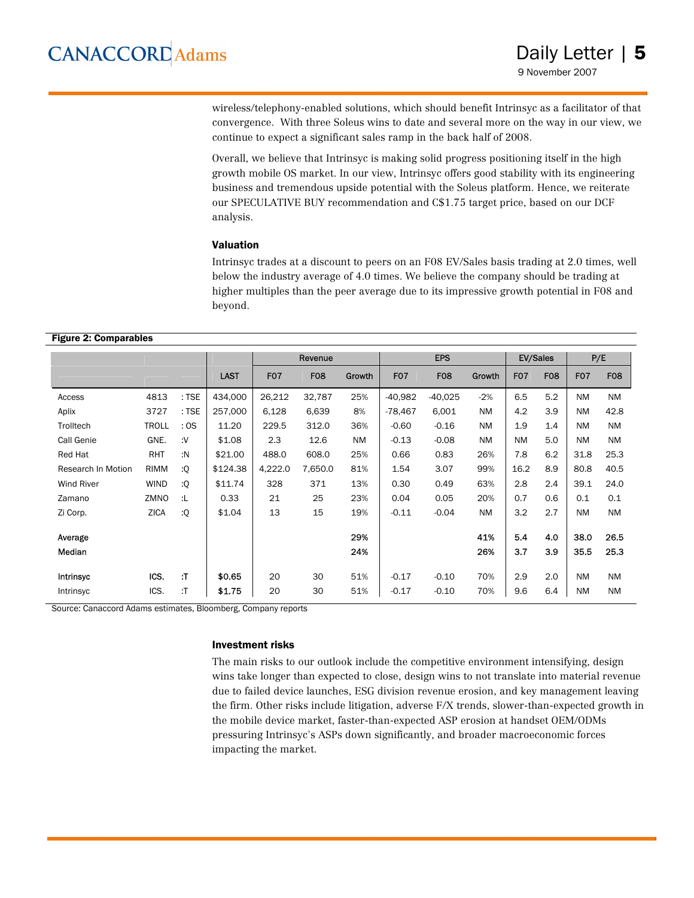wireless/telephony-enabled solutions, which should benefit Intrinsyc as a facilitator of that convergence. With three Soleus wins to date and several more on the way in our view, we continue to expect a significant sales ramp in the back half of 2008.

Overall, we believe that Intrinsyc is making solid progress positioning itself in the high growth mobile OS market. In our view, Intrinsyc offers good stability with its engineering business and tremendous upside potential with the Soleus platform. Hence, we reiterate our SPECULATIVE BUY recommendation and C\$1.75 target price, based on our DCF analysis.

#### Valuation

Intrinsyc trades at a discount to peers on an F08 EV/Sales basis trading at 2.0 times, well below the industry average of 4.0 times. We believe the company should be trading at higher multiples than the peer average due to its impressive growth potential in F08 and beyond.

#### Figure 2: Comparables

|                    |              |       |             | Revenue          |            | <b>EPS</b> |                  |            | <b>EV/Sales</b> |                  | P/E        |                  |            |
|--------------------|--------------|-------|-------------|------------------|------------|------------|------------------|------------|-----------------|------------------|------------|------------------|------------|
|                    |              |       | <b>LAST</b> | F <sub>0</sub> 7 | <b>F08</b> | Growth     | F <sub>0</sub> 7 | <b>F08</b> | Growth          | F <sub>0</sub> 7 | <b>F08</b> | F <sub>0</sub> 7 | <b>F08</b> |
| Access             | 4813         | : TSE | 434,000     | 26,212           | 32,787     | 25%        | $-40,982$        | $-40,025$  | $-2%$           | 6.5              | 5.2        | <b>NM</b>        | <b>NM</b>  |
| Aplix              | 3727         | : TSE | 257,000     | 6,128            | 6,639      | 8%         | $-78,467$        | 6,001      | <b>NM</b>       | 4.2              | 3.9        | <b>NM</b>        | 42.8       |
| Trolltech          | <b>TROLL</b> | :OS   | 11.20       | 229.5            | 312.0      | 36%        | $-0.60$          | $-0.16$    | <b>NM</b>       | 1.9              | 1.4        | <b>NM</b>        | <b>NM</b>  |
| Call Genie         | GNE.         | ٠٧.   | \$1.08      | 2.3              | 12.6       | <b>NM</b>  | $-0.13$          | $-0.08$    | <b>NM</b>       | <b>NM</b>        | 5.0        | <b>NM</b>        | <b>NM</b>  |
| Red Hat            | RHT          | :N    | \$21.00     | 488.0            | 608.0      | 25%        | 0.66             | 0.83       | 26%             | 7.8              | 6.2        | 31.8             | 25.3       |
| Research In Motion | <b>RIMM</b>  | :Q    | \$124.38    | 4,222.0          | 7,650.0    | 81%        | 1.54             | 3.07       | 99%             | 16.2             | 8.9        | 80.8             | 40.5       |
| Wind River         | <b>WIND</b>  | :Q    | \$11.74     | 328              | 371        | 13%        | 0.30             | 0.49       | 63%             | 2.8              | 2.4        | 39.1             | 24.0       |
| Zamano             | ZMNO         | :L    | 0.33        | 21               | 25         | 23%        | 0.04             | 0.05       | 20%             | 0.7              | 0.6        | 0.1              | 0.1        |
| Zi Corp.           | <b>ZICA</b>  | :Q    | \$1.04      | 13               | 15         | 19%        | $-0.11$          | $-0.04$    | <b>NM</b>       | 3.2              | 2.7        | <b>NM</b>        | <b>NM</b>  |
| Average            |              |       |             |                  |            | 29%        |                  |            | 41%             | 5.4              | 4.0        | 38.0             | 26.5       |
| Median             |              |       |             |                  |            | 24%        |                  |            | 26%             | 3.7              | 3.9        | 35.5             | 25.3       |
| Intrinsyc          | ICS.         | :T    | \$0.65      | 20               | 30         | 51%        | $-0.17$          | $-0.10$    | 70%             | 2.9              | 2.0        | <b>NM</b>        | <b>NM</b>  |
| Intrinsyc          | ICS.         | :T    | \$1.75      | 20               | 30         | 51%        | $-0.17$          | $-0.10$    | 70%             | 9.6              | 6.4        | <b>NM</b>        | <b>NM</b>  |

Source: Canaccord Adams estimates, Bloomberg, Company reports

#### Investment risks

The main risks to our outlook include the competitive environment intensifying, design wins take longer than expected to close, design wins to not translate into material revenue due to failed device launches, ESG division revenue erosion, and key management leaving the firm. Other risks include litigation, adverse F/X trends, slower-than-expected growth in the mobile device market, faster-than-expected ASP erosion at handset OEM/ODMs pressuring Intrinsyc's ASPs down significantly, and broader macroeconomic forces impacting the market.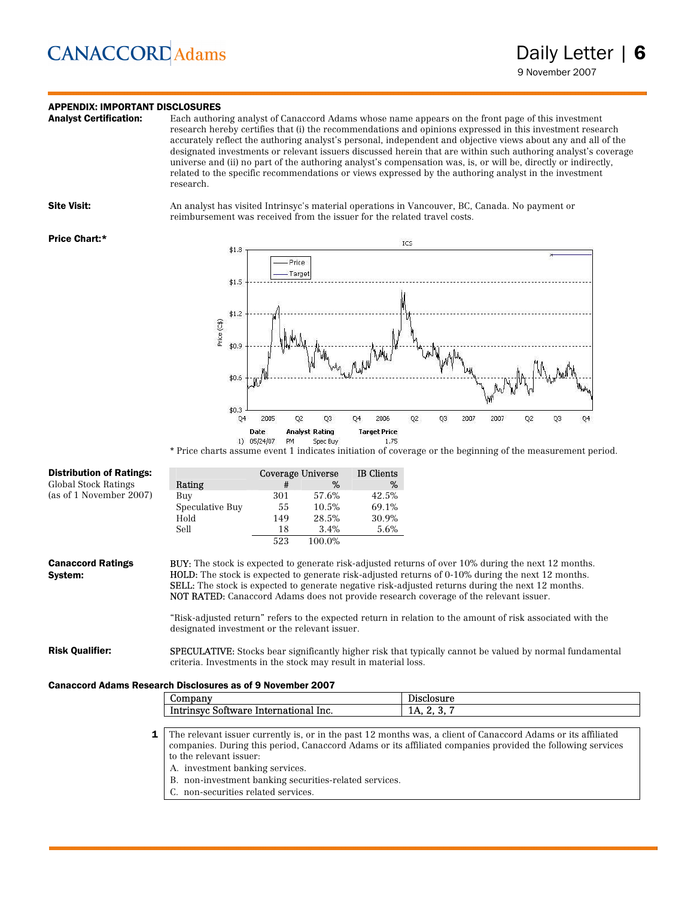### **APPENDIX: IMPORTANT DISCLOSURES**<br>**Analyst Certification:** Each author

Each authoring analyst of Canaccord Adams whose name appears on the front page of this investment research hereby certifies that (i) the recommendations and opinions expressed in this investment research accurately reflect the authoring analyst's personal, independent and objective views about any and all of the designated investments or relevant issuers discussed herein that are within such authoring analyst's coverage universe and (ii) no part of the authoring analyst's compensation was, is, or will be, directly or indirectly, related to the specific recommendations or views expressed by the authoring analyst in the investment research.

Site Visit: An analyst has visited Intrinsyc's material operations in Vancouver, BC, Canada. No payment or reimbursement was received from the issuer for the related travel costs.

#### Price Chart:\*



\* Price charts assume event 1 indicates initiation of coverage or the beginning of the measurement period.

| <b>Distribution of Ratings:</b>                                   |                                                                 | Coverage Universe |        | <b>IB</b> Clients |                                                                                                                                                                                                                                                                                                                                                                                                                             |
|-------------------------------------------------------------------|-----------------------------------------------------------------|-------------------|--------|-------------------|-----------------------------------------------------------------------------------------------------------------------------------------------------------------------------------------------------------------------------------------------------------------------------------------------------------------------------------------------------------------------------------------------------------------------------|
| Global Stock Ratings                                              | Rating                                                          | #                 | %      | %                 |                                                                                                                                                                                                                                                                                                                                                                                                                             |
| (as of 1 November 2007)                                           | Buy                                                             | 301               | 57.6%  | 42.5%             |                                                                                                                                                                                                                                                                                                                                                                                                                             |
|                                                                   | Speculative Buy                                                 | 55                | 10.5%  | 69.1%             |                                                                                                                                                                                                                                                                                                                                                                                                                             |
|                                                                   | Hold                                                            | 149               | 28.5%  | 30.9%             |                                                                                                                                                                                                                                                                                                                                                                                                                             |
|                                                                   | Sell                                                            | 18                | 3.4%   | 5.6%              |                                                                                                                                                                                                                                                                                                                                                                                                                             |
|                                                                   |                                                                 | 523               | 100.0% |                   |                                                                                                                                                                                                                                                                                                                                                                                                                             |
| <b>Canaccord Ratings</b><br>System:                               |                                                                 |                   |        |                   | BUY: The stock is expected to generate risk-adjusted returns of over 10% during the next 12 months.<br><b>HOLD:</b> The stock is expected to generate risk-adjusted returns of 0-10% during the next 12 months.<br><b>SELL:</b> The stock is expected to generate negative risk-adjusted returns during the next 12 months.<br><b>NOT RATED:</b> Canaccord Adams does not provide research coverage of the relevant issuer. |
|                                                                   | designated investment or the relevant issuer.                   |                   |        |                   | "Risk-adjusted return" refers to the expected return in relation to the amount of risk associated with the                                                                                                                                                                                                                                                                                                                  |
| <b>Risk Qualifier:</b>                                            | criteria. Investments in the stock may result in material loss. |                   |        |                   | <b>SPECULATIVE:</b> Stocks bear significantly higher risk that typically cannot be valued by normal fundamental                                                                                                                                                                                                                                                                                                             |
| <b>Canaccord Adams Research Disclosures as of 9 November 2007</b> |                                                                 |                   |        |                   |                                                                                                                                                                                                                                                                                                                                                                                                                             |
|                                                                   | Company                                                         |                   |        |                   | Disclosure                                                                                                                                                                                                                                                                                                                                                                                                                  |
|                                                                   | Intrinsyc Software International Inc.                           |                   |        |                   | 1A, 2, 3, 7                                                                                                                                                                                                                                                                                                                                                                                                                 |
| 1                                                                 |                                                                 |                   |        |                   | The relevant issuer currently is, or in the past 12 months was, a client of Canaccord Adams or its affiliated                                                                                                                                                                                                                                                                                                               |
|                                                                   |                                                                 |                   |        |                   | companies. During this period, Canaccord Adams or its affiliated companies provided the following services                                                                                                                                                                                                                                                                                                                  |
|                                                                   | to the relevant issuer:                                         |                   |        |                   |                                                                                                                                                                                                                                                                                                                                                                                                                             |

A. investment banking services.

B. non-investment banking securities-related services.

C. non-securities related services.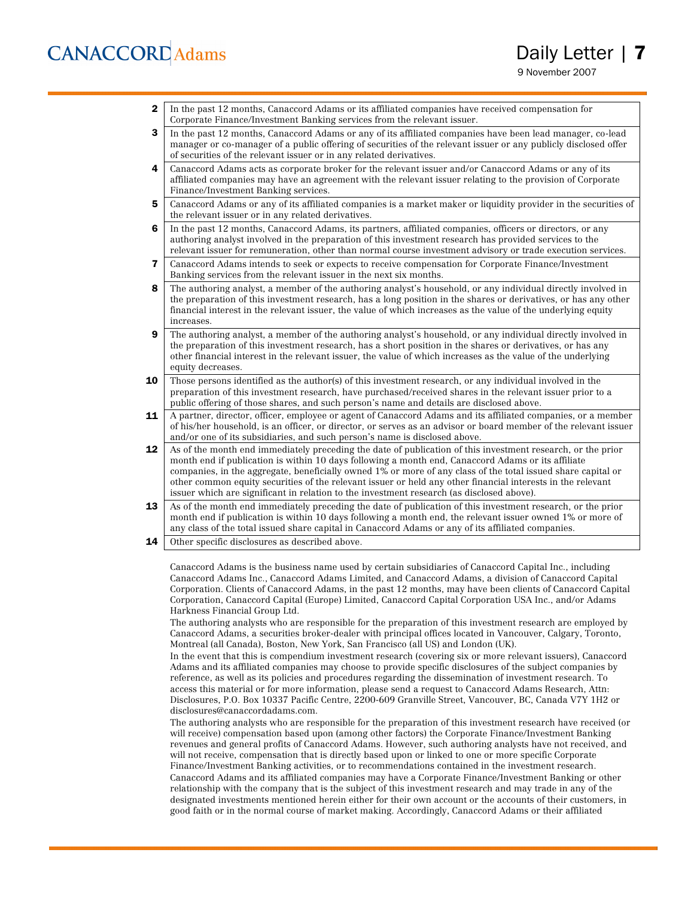9 November 2007

**2** In the past 12 months, Canaccord Adams or its affiliated companies have received compensation for Corporate Finance/Investment Banking services from the relevant issuer.

3 In the past 12 months, Canaccord Adams or any of its affiliated companies have been lead manager, co-lead manager or co-manager of a public offering of securities of the relevant issuer or any publicly disclosed offer of securities of the relevant issuer or in any related derivatives.

- 4 Canaccord Adams acts as corporate broker for the relevant issuer and/or Canaccord Adams or any of its affiliated companies may have an agreement with the relevant issuer relating to the provision of Corporate Finance/Investment Banking services.
- 5 Canaccord Adams or any of its affiliated companies is a market maker or liquidity provider in the securities of the relevant issuer or in any related derivatives.
- 6 In the past 12 months, Canaccord Adams, its partners, affiliated companies, officers or directors, or any authoring analyst involved in the preparation of this investment research has provided services to the relevant issuer for remuneration, other than normal course investment advisory or trade execution services.
- 7 Canaccord Adams intends to seek or expects to receive compensation for Corporate Finance/Investment Banking services from the relevant issuer in the next six months.
- 8 The authoring analyst, a member of the authoring analyst's household, or any individual directly involved in the preparation of this investment research, has a long position in the shares or derivatives, or has any other financial interest in the relevant issuer, the value of which increases as the value of the underlying equity increases.
- 9 The authoring analyst, a member of the authoring analyst's household, or any individual directly involved in the preparation of this investment research, has a short position in the shares or derivatives, or has any other financial interest in the relevant issuer, the value of which increases as the value of the underlying equity decreases.
- **10** Those persons identified as the author(s) of this investment research, or any individual involved in the preparation of this investment research, have purchased/received shares in the relevant issuer prior to a public offering of those shares, and such person's name and details are disclosed above.
- 11 A partner, director, officer, employee or agent of Canaccord Adams and its affiliated companies, or a member of his/her household, is an officer, or director, or serves as an advisor or board member of the relevant issuer and/or one of its subsidiaries, and such person's name is disclosed above.
- 12 As of the month end immediately preceding the date of publication of this investment research, or the prior month end if publication is within 10 days following a month end, Canaccord Adams or its affiliate companies, in the aggregate, beneficially owned 1% or more of any class of the total issued share capital or other common equity securities of the relevant issuer or held any other financial interests in the relevant issuer which are significant in relation to the investment research (as disclosed above).
- 13 As of the month end immediately preceding the date of publication of this investment research, or the prior month end if publication is within 10 days following a month end, the relevant issuer owned 1% or more of any class of the total issued share capital in Canaccord Adams or any of its affiliated companies.
- **14** Other specific disclosures as described above.

Canaccord Adams is the business name used by certain subsidiaries of Canaccord Capital Inc., including Canaccord Adams Inc., Canaccord Adams Limited, and Canaccord Adams, a division of Canaccord Capital Corporation. Clients of Canaccord Adams, in the past 12 months, may have been clients of Canaccord Capital Corporation, Canaccord Capital (Europe) Limited, Canaccord Capital Corporation USA Inc., and/or Adams Harkness Financial Group Ltd.

The authoring analysts who are responsible for the preparation of this investment research are employed by Canaccord Adams, a securities broker-dealer with principal offices located in Vancouver, Calgary, Toronto, Montreal (all Canada), Boston, New York, San Francisco (all US) and London (UK).

In the event that this is compendium investment research (covering six or more relevant issuers), Canaccord Adams and its affiliated companies may choose to provide specific disclosures of the subject companies by reference, as well as its policies and procedures regarding the dissemination of investment research. To access this material or for more information, please send a request to Canaccord Adams Research, Attn: Disclosures, P.O. Box 10337 Pacific Centre, 2200-609 Granville Street, Vancouver, BC, Canada V7Y 1H2 or disclosures@canaccordadams.com.

The authoring analysts who are responsible for the preparation of this investment research have received (or will receive) compensation based upon (among other factors) the Corporate Finance/Investment Banking revenues and general profits of Canaccord Adams. However, such authoring analysts have not received, and will not receive, compensation that is directly based upon or linked to one or more specific Corporate Finance/Investment Banking activities, or to recommendations contained in the investment research.

Canaccord Adams and its affiliated companies may have a Corporate Finance/Investment Banking or other relationship with the company that is the subject of this investment research and may trade in any of the designated investments mentioned herein either for their own account or the accounts of their customers, in good faith or in the normal course of market making. Accordingly, Canaccord Adams or their affiliated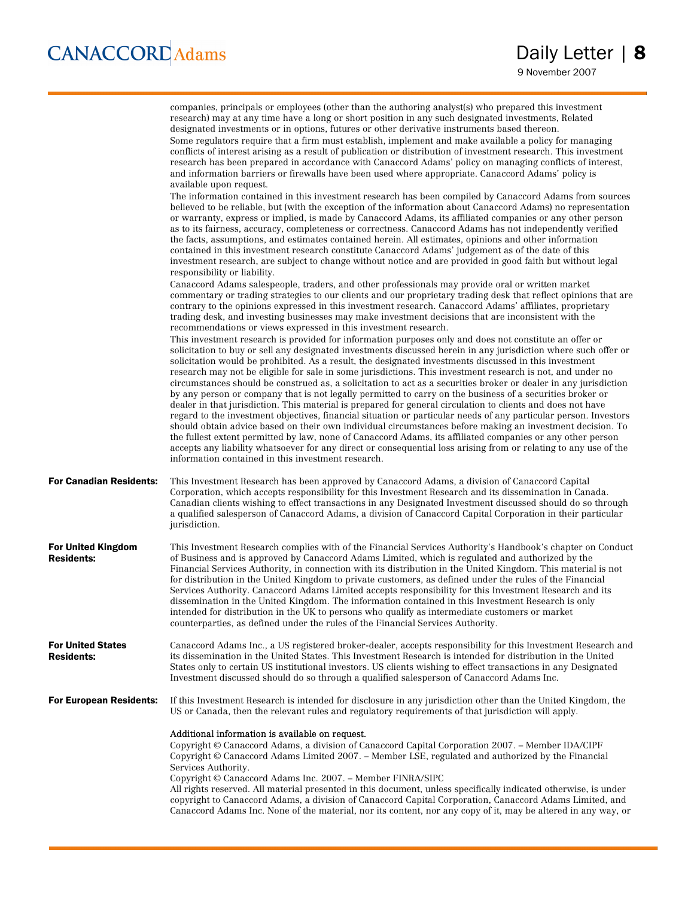conflicts of interest arising as a result of publication or distribution of investment research. This investment research has been prepared in accordance with Canaccord Adams' policy on managing conflicts of interest, and information barriers or firewalls have been used where appropriate. Canaccord Adams' policy is available upon request. The information contained in this investment research has been compiled by Canaccord Adams from sources believed to be reliable, but (with the exception of the information about Canaccord Adams) no representation or warranty, express or implied, is made by Canaccord Adams, its affiliated companies or any other person as to its fairness, accuracy, completeness or correctness. Canaccord Adams has not independently verified the facts, assumptions, and estimates contained herein. All estimates, opinions and other information contained in this investment research constitute Canaccord Adams' judgement as of the date of this investment research, are subject to change without notice and are provided in good faith but without legal responsibility or liability. Canaccord Adams salespeople, traders, and other professionals may provide oral or written market commentary or trading strategies to our clients and our proprietary trading desk that reflect opinions that are contrary to the opinions expressed in this investment research. Canaccord Adams' affiliates, proprietary trading desk, and investing businesses may make investment decisions that are inconsistent with the recommendations or views expressed in this investment research. This investment research is provided for information purposes only and does not constitute an offer or solicitation to buy or sell any designated investments discussed herein in any jurisdiction where such offer or solicitation would be prohibited. As a result, the designated investments discussed in this investment research may not be eligible for sale in some jurisdictions. This investment research is not, and under no circumstances should be construed as, a solicitation to act as a securities broker or dealer in any jurisdiction by any person or company that is not legally permitted to carry on the business of a securities broker or dealer in that jurisdiction. This material is prepared for general circulation to clients and does not have regard to the investment objectives, financial situation or particular needs of any particular person. Investors should obtain advice based on their own individual circumstances before making an investment decision. To the fullest extent permitted by law, none of Canaccord Adams, its affiliated companies or any other person accepts any liability whatsoever for any direct or consequential loss arising from or relating to any use of the information contained in this investment research. For Canadian Residents: This Investment Research has been approved by Canaccord Adams, a division of Canaccord Capital Corporation, which accepts responsibility for this Investment Research and its dissemination in Canada. Canadian clients wishing to effect transactions in any Designated Investment discussed should do so through a qualified salesperson of Canaccord Adams, a division of Canaccord Capital Corporation in their particular jurisdiction. For United Kingdom Residents: This Investment Research complies with of the Financial Services Authority's Handbook's chapter on Conduct of Business and is approved by Canaccord Adams Limited, which is regulated and authorized by the Financial Services Authority, in connection with its distribution in the United Kingdom. This material is not for distribution in the United Kingdom to private customers, as defined under the rules of the Financial Services Authority. Canaccord Adams Limited accepts responsibility for this Investment Research and its dissemination in the United Kingdom. The information contained in this Investment Research is only intended for distribution in the UK to persons who qualify as intermediate customers or market counterparties, as defined under the rules of the Financial Services Authority. For United States Residents: Canaccord Adams Inc., a US registered broker-dealer, accepts responsibility for this Investment Research and its dissemination in the United States. This Investment Research is intended for distribution in the United States only to certain US institutional investors. US clients wishing to effect transactions in any Designated Investment discussed should do so through a qualified salesperson of Canaccord Adams Inc. For European Residents: If this Investment Research is intended for disclosure in any jurisdiction other than the United Kingdom, the US or Canada, then the relevant rules and regulatory requirements of that jurisdiction will apply. Additional information is available on request. Copyright © Canaccord Adams, a division of Canaccord Capital Corporation 2007. – Member IDA/CIPF Copyright © Canaccord Adams Limited 2007. – Member LSE, regulated and authorized by the Financial Services Authority. Copyright © Canaccord Adams Inc. 2007. – Member FINRA/SIPC

All rights reserved. All material presented in this document, unless specifically indicated otherwise, is under copyright to Canaccord Adams, a division of Canaccord Capital Corporation, Canaccord Adams Limited, and Canaccord Adams Inc. None of the material, nor its content, nor any copy of it, may be altered in any way, or